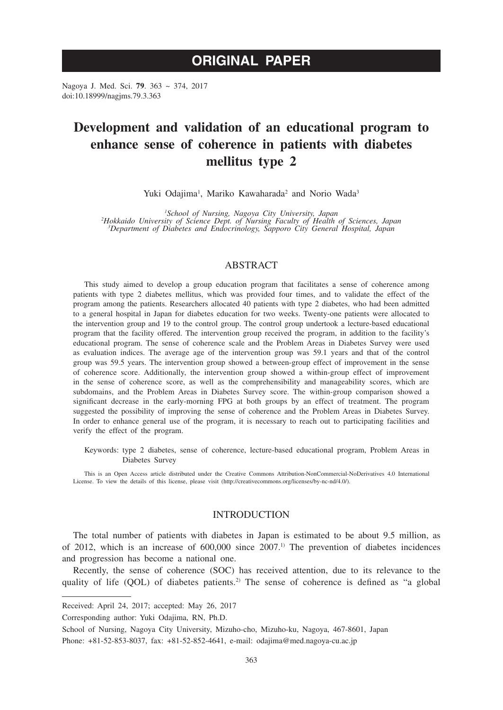# **ORIGINAL PAPER**

Nagoya J. Med. Sci. **79**. 363 ~ 374, 2017 doi:10.18999/nagjms.79.3.363

# **Development and validation of an educational program to enhance sense of coherence in patients with diabetes mellitus type 2**

Yuki Odajima<sup>1</sup>, Mariko Kawaharada<sup>2</sup> and Norio Wada<sup>3</sup>

<sup>1</sup>School of Nursing, Nagoya City University, Japan<br>Flokkaido University of Science Dept. of Nursing Faculty of Health of Sciences, Japan<sup>2</sup><br><sup>3</sup>Department of Diabetes and Endocrinology, Sapporo City General Hospital, Japan

# ABSTRACT

This study aimed to develop a group education program that facilitates a sense of coherence among patients with type 2 diabetes mellitus, which was provided four times, and to validate the effect of the program among the patients. Researchers allocated 40 patients with type 2 diabetes, who had been admitted to a general hospital in Japan for diabetes education for two weeks. Twenty-one patients were allocated to the intervention group and 19 to the control group. The control group undertook a lecture-based educational program that the facility offered. The intervention group received the program, in addition to the facility's educational program. The sense of coherence scale and the Problem Areas in Diabetes Survey were used as evaluation indices. The average age of the intervention group was 59.1 years and that of the control group was 59.5 years. The intervention group showed a between-group effect of improvement in the sense of coherence score. Additionally, the intervention group showed a within-group effect of improvement in the sense of coherence score, as well as the comprehensibility and manageability scores, which are subdomains, and the Problem Areas in Diabetes Survey score. The within-group comparison showed a significant decrease in the early-morning FPG at both groups by an effect of treatment. The program suggested the possibility of improving the sense of coherence and the Problem Areas in Diabetes Survey. In order to enhance general use of the program, it is necessary to reach out to participating facilities and verify the effect of the program.

Keywords: type 2 diabetes, sense of coherence, lecture-based educational program, Problem Areas in Diabetes Survey

This is an Open Access article distributed under the Creative Commons Attribution-NonCommercial-NoDerivatives 4.0 International License. To view the details of this license, please visit (http://creativecommons.org/licenses/by-nc-nd/4.0/).

## **INTRODUCTION**

The total number of patients with diabetes in Japan is estimated to be about 9.5 million, as of 2012, which is an increase of 600,000 since 2007.1) The prevention of diabetes incidences and progression has become a national one.

Recently, the sense of coherence (SOC) has received attention, due to its relevance to the quality of life (QOL) of diabetes patients.<sup>2)</sup> The sense of coherence is defined as "a global

Corresponding author: Yuki Odajima, RN, Ph.D.

Received: April 24, 2017; accepted: May 26, 2017

School of Nursing, Nagoya City University, Mizuho-cho, Mizuho-ku, Nagoya, 467-8601, Japan

Phone: +81-52-853-8037, fax: +81-52-852-4641, e-mail: odajima@med.nagoya-cu.ac.jp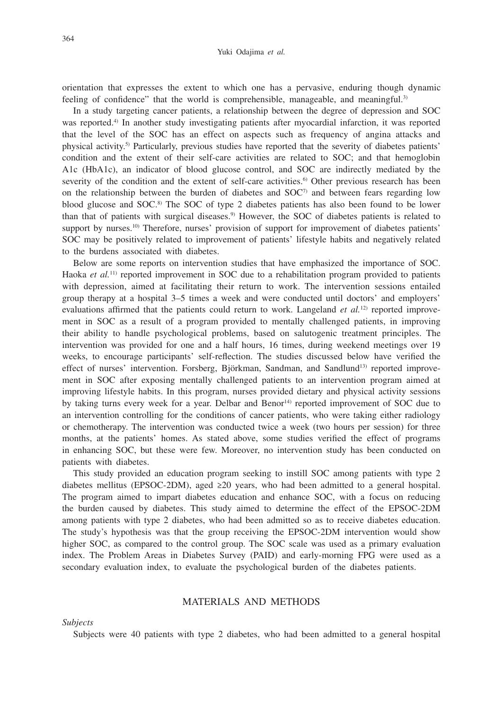#### Yuki Odajima *et al.*

orientation that expresses the extent to which one has a pervasive, enduring though dynamic feeling of confidence" that the world is comprehensible, manageable, and meaningful.<sup>3)</sup>

In a study targeting cancer patients, a relationship between the degree of depression and SOC was reported.<sup>4)</sup> In another study investigating patients after myocardial infarction, it was reported that the level of the SOC has an effect on aspects such as frequency of angina attacks and physical activity.5) Particularly, previous studies have reported that the severity of diabetes patients' condition and the extent of their self-care activities are related to SOC; and that hemoglobin A1c (HbA1c), an indicator of blood glucose control, and SOC are indirectly mediated by the severity of the condition and the extent of self-care activities.<sup>6</sup> Other previous research has been on the relationship between the burden of diabetes and  $SOC<sup>7</sup>$  and between fears regarding low blood glucose and SOC.8) The SOC of type 2 diabetes patients has also been found to be lower than that of patients with surgical diseases.9) However, the SOC of diabetes patients is related to support by nurses.<sup>10)</sup> Therefore, nurses' provision of support for improvement of diabetes patients' SOC may be positively related to improvement of patients' lifestyle habits and negatively related to the burdens associated with diabetes.

Below are some reports on intervention studies that have emphasized the importance of SOC. Haoka *et al.*<sup>11)</sup> reported improvement in SOC due to a rehabilitation program provided to patients with depression, aimed at facilitating their return to work. The intervention sessions entailed group therapy at a hospital 3–5 times a week and were conducted until doctors' and employers' evaluations affirmed that the patients could return to work. Langeland *et al.*<sup>12)</sup> reported improvement in SOC as a result of a program provided to mentally challenged patients, in improving their ability to handle psychological problems, based on salutogenic treatment principles. The intervention was provided for one and a half hours, 16 times, during weekend meetings over 19 weeks, to encourage participants' self-reflection. The studies discussed below have verified the effect of nurses' intervention. Forsberg, Björkman, Sandman, and Sandlund<sup>13)</sup> reported improvement in SOC after exposing mentally challenged patients to an intervention program aimed at improving lifestyle habits. In this program, nurses provided dietary and physical activity sessions by taking turns every week for a year. Delbar and Benor<sup>14)</sup> reported improvement of SOC due to an intervention controlling for the conditions of cancer patients, who were taking either radiology or chemotherapy. The intervention was conducted twice a week (two hours per session) for three months, at the patients' homes. As stated above, some studies verified the effect of programs in enhancing SOC, but these were few. Moreover, no intervention study has been conducted on patients with diabetes.

This study provided an education program seeking to instill SOC among patients with type 2 diabetes mellitus (EPSOC-2DM), aged ≥20 years, who had been admitted to a general hospital. The program aimed to impart diabetes education and enhance SOC, with a focus on reducing the burden caused by diabetes. This study aimed to determine the effect of the EPSOC-2DM among patients with type 2 diabetes, who had been admitted so as to receive diabetes education. The study's hypothesis was that the group receiving the EPSOC-2DM intervention would show higher SOC, as compared to the control group. The SOC scale was used as a primary evaluation index. The Problem Areas in Diabetes Survey (PAID) and early-morning FPG were used as a secondary evaluation index, to evaluate the psychological burden of the diabetes patients.

# MATERIALS AND METHODS

*Subjects*

Subjects were 40 patients with type 2 diabetes, who had been admitted to a general hospital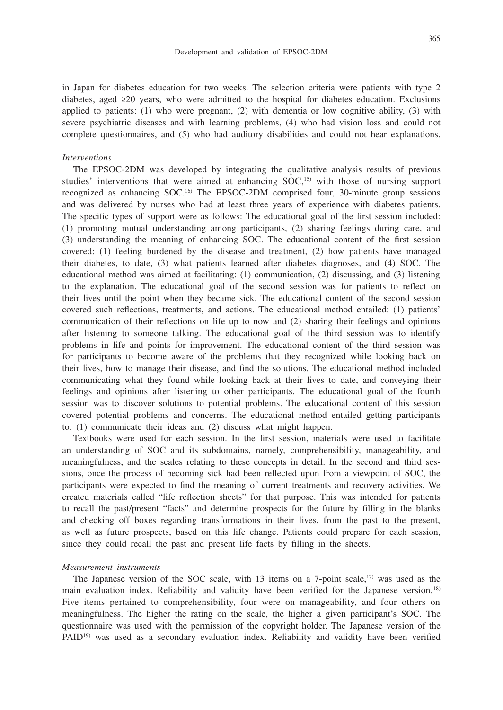in Japan for diabetes education for two weeks. The selection criteria were patients with type 2 diabetes, aged ≥20 years, who were admitted to the hospital for diabetes education. Exclusions applied to patients: (1) who were pregnant, (2) with dementia or low cognitive ability, (3) with severe psychiatric diseases and with learning problems, (4) who had vision loss and could not complete questionnaires, and (5) who had auditory disabilities and could not hear explanations.

## *Interventions*

The EPSOC-2DM was developed by integrating the qualitative analysis results of previous studies' interventions that were aimed at enhancing SOC,<sup>15)</sup> with those of nursing support recognized as enhancing SOC.16) The EPSOC-2DM comprised four, 30-minute group sessions and was delivered by nurses who had at least three years of experience with diabetes patients. The specific types of support were as follows: The educational goal of the first session included: (1) promoting mutual understanding among participants, (2) sharing feelings during care, and (3) understanding the meaning of enhancing SOC. The educational content of the first session covered: (1) feeling burdened by the disease and treatment, (2) how patients have managed their diabetes, to date, (3) what patients learned after diabetes diagnoses, and (4) SOC. The educational method was aimed at facilitating: (1) communication, (2) discussing, and (3) listening to the explanation. The educational goal of the second session was for patients to reflect on their lives until the point when they became sick. The educational content of the second session covered such reflections, treatments, and actions. The educational method entailed: (1) patients' communication of their reflections on life up to now and (2) sharing their feelings and opinions after listening to someone talking. The educational goal of the third session was to identify problems in life and points for improvement. The educational content of the third session was for participants to become aware of the problems that they recognized while looking back on their lives, how to manage their disease, and find the solutions. The educational method included communicating what they found while looking back at their lives to date, and conveying their feelings and opinions after listening to other participants. The educational goal of the fourth session was to discover solutions to potential problems. The educational content of this session covered potential problems and concerns. The educational method entailed getting participants to: (1) communicate their ideas and (2) discuss what might happen.

Textbooks were used for each session. In the first session, materials were used to facilitate an understanding of SOC and its subdomains, namely, comprehensibility, manageability, and meaningfulness, and the scales relating to these concepts in detail. In the second and third sessions, once the process of becoming sick had been reflected upon from a viewpoint of SOC, the participants were expected to find the meaning of current treatments and recovery activities. We created materials called "life reflection sheets" for that purpose. This was intended for patients to recall the past/present "facts" and determine prospects for the future by filling in the blanks and checking off boxes regarding transformations in their lives, from the past to the present, as well as future prospects, based on this life change. Patients could prepare for each session, since they could recall the past and present life facts by filling in the sheets.

#### *Measurement instruments*

The Japanese version of the SOC scale, with 13 items on a 7-point scale, $17$  was used as the main evaluation index. Reliability and validity have been verified for the Japanese version.18) Five items pertained to comprehensibility, four were on manageability, and four others on meaningfulness. The higher the rating on the scale, the higher a given participant's SOC. The questionnaire was used with the permission of the copyright holder. The Japanese version of the PAID<sup>19)</sup> was used as a secondary evaluation index. Reliability and validity have been verified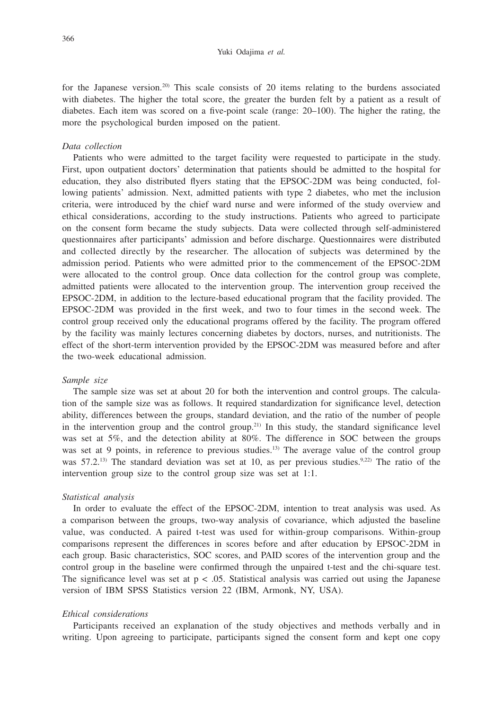#### Yuki Odajima *et al.*

for the Japanese version.<sup>20)</sup> This scale consists of 20 items relating to the burdens associated with diabetes. The higher the total score, the greater the burden felt by a patient as a result of diabetes. Each item was scored on a five-point scale (range: 20–100). The higher the rating, the more the psychological burden imposed on the patient.

# *Data collection*

Patients who were admitted to the target facility were requested to participate in the study. First, upon outpatient doctors' determination that patients should be admitted to the hospital for education, they also distributed flyers stating that the EPSOC-2DM was being conducted, following patients' admission. Next, admitted patients with type 2 diabetes, who met the inclusion criteria, were introduced by the chief ward nurse and were informed of the study overview and ethical considerations, according to the study instructions. Patients who agreed to participate on the consent form became the study subjects. Data were collected through self-administered questionnaires after participants' admission and before discharge. Questionnaires were distributed and collected directly by the researcher. The allocation of subjects was determined by the admission period. Patients who were admitted prior to the commencement of the EPSOC-2DM were allocated to the control group. Once data collection for the control group was complete, admitted patients were allocated to the intervention group. The intervention group received the EPSOC-2DM, in addition to the lecture-based educational program that the facility provided. The EPSOC-2DM was provided in the first week, and two to four times in the second week. The control group received only the educational programs offered by the facility. The program offered by the facility was mainly lectures concerning diabetes by doctors, nurses, and nutritionists. The effect of the short-term intervention provided by the EPSOC-2DM was measured before and after the two-week educational admission.

#### *Sample size*

The sample size was set at about 20 for both the intervention and control groups. The calculation of the sample size was as follows. It required standardization for significance level, detection ability, differences between the groups, standard deviation, and the ratio of the number of people in the intervention group and the control group.<sup>21)</sup> In this study, the standard significance level was set at 5%, and the detection ability at 80%. The difference in SOC between the groups was set at 9 points, in reference to previous studies.<sup>13)</sup> The average value of the control group was  $57.2$ <sup>[3]</sup>. The standard deviation was set at 10, as per previous studies.<sup>9,22)</sup> The ratio of the intervention group size to the control group size was set at 1:1.

#### *Statistical analysis*

In order to evaluate the effect of the EPSOC-2DM, intention to treat analysis was used. As a comparison between the groups, two-way analysis of covariance, which adjusted the baseline value, was conducted. A paired t-test was used for within-group comparisons. Within-group comparisons represent the differences in scores before and after education by EPSOC-2DM in each group. Basic characteristics, SOC scores, and PAID scores of the intervention group and the control group in the baseline were confirmed through the unpaired t-test and the chi-square test. The significance level was set at  $p < .05$ . Statistical analysis was carried out using the Japanese version of IBM SPSS Statistics version 22 (IBM, Armonk, NY, USA).

## *Ethical considerations*

Participants received an explanation of the study objectives and methods verbally and in writing. Upon agreeing to participate, participants signed the consent form and kept one copy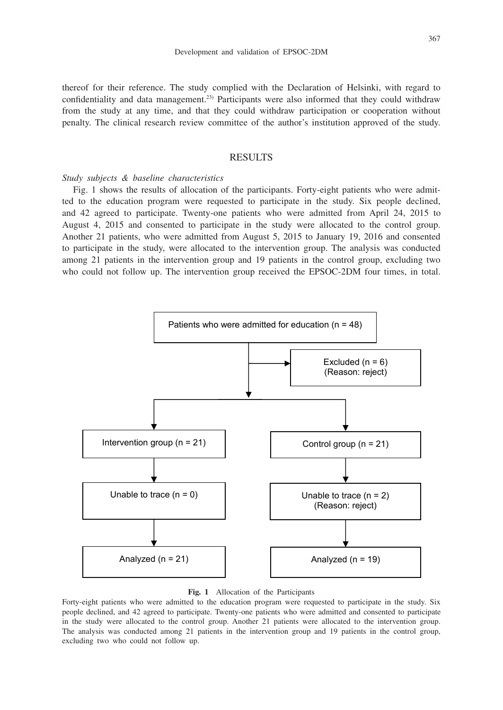thereof for their reference. The study complied with the Declaration of Helsinki, with regard to confidentiality and data management.23) Participants were also informed that they could withdraw from the study at any time, and that they could withdraw participation or cooperation without penalty. The clinical research review committee of the author's institution approved of the study.

# RESULTS

# *Study subjects & baseline characteristics*

Fig. 1 shows the results of allocation of the participants. Forty-eight patients who were admitted to the education program were requested to participate in the study. Six people declined, and 42 agreed to participate. Twenty-one patients who were admitted from April 24, 2015 to August 4, 2015 and consented to participate in the study were allocated to the control group. Another 21 patients, who were admitted from August 5, 2015 to January 19, 2016 and consented to participate in the study, were allocated to the intervention group. The analysis was conducted among 21 patients in the intervention group and 19 patients in the control group, excluding two who could not follow up. The intervention group received the EPSOC-2DM four times, in total.



## **Fig. 1** Allocation of the Participants

Forty-eight patients who were admitted to the education program were requested to participate in the study. Six people declined, and 42 agreed to participate. Twenty-one patients who were admitted and consented to participate in the study were allocated to the control group. Another 21 patients were allocated to the intervention group. The analysis was conducted among 21 patients in the intervention group and 19 patients in the control group, excluding two who could not follow up.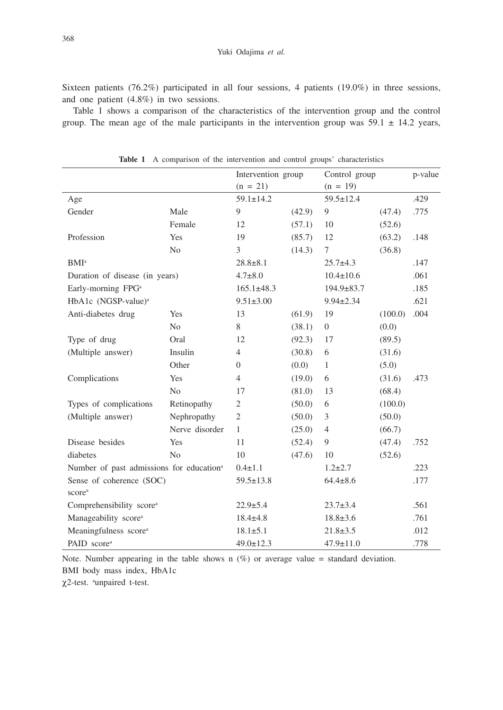Sixteen patients (76.2%) participated in all four sessions, 4 patients (19.0%) in three sessions, and one patient (4.8%) in two sessions.

Table 1 shows a comparison of the characteristics of the intervention group and the control group. The mean age of the male participants in the intervention group was  $59.1 \pm 14.2$  years,

|                                                      |                | Intervention group<br>$(n = 21)$ |        | Control group<br>$(n = 19)$ |         | p-value |
|------------------------------------------------------|----------------|----------------------------------|--------|-----------------------------|---------|---------|
|                                                      |                |                                  |        |                             |         |         |
| Age                                                  |                | $59.1 \pm 14.2$                  |        | $59.5 \pm 12.4$             |         | .429    |
| Gender                                               | Male           | 9                                | (42.9) | 9                           | (47.4)  | .775    |
|                                                      | Female         | 12                               | (57.1) | 10                          | (52.6)  |         |
| Profession                                           | Yes            | 19                               | (85.7) | 12                          | (63.2)  | .148    |
|                                                      | N <sub>0</sub> | 3                                | (14.3) | $\tau$                      | (36.8)  |         |
| <b>BMI</b> <sup>a</sup>                              |                | $28.8 \pm 8.1$                   |        | $25.7+4.3$                  |         | .147    |
| Duration of disease (in years)                       |                | $4.7 \pm 8.0$                    |        | $10.4 \pm 10.6$             |         | .061    |
| Early-morning FPG <sup>a</sup>                       |                | $165.1 \pm 48.3$                 |        | $194.9 \pm 83.7$            |         | .185    |
| HbA1c (NGSP-value) <sup>a</sup>                      |                | $9.51 \pm 3.00$                  |        | $9.94 \pm 2.34$             |         | .621    |
| Anti-diabetes drug                                   | Yes            | 13                               | (61.9) | 19                          | (100.0) | .004    |
|                                                      | N <sub>o</sub> | 8                                | (38.1) | $\overline{0}$              | (0.0)   |         |
| Type of drug                                         | Oral           | 12                               | (92.3) | 17                          | (89.5)  |         |
| (Multiple answer)                                    | Insulin        | $\overline{4}$                   | (30.8) | 6                           | (31.6)  |         |
|                                                      | Other          | $\overline{0}$                   | (0.0)  | $\mathbf{1}$                | (5.0)   |         |
| Complications                                        | Yes            | $\overline{4}$                   | (19.0) | 6                           | (31.6)  | .473    |
|                                                      | N <sub>o</sub> | 17                               | (81.0) | 13                          | (68.4)  |         |
| Types of complications                               | Retinopathy    | 2                                | (50.0) | 6                           | (100.0) |         |
| (Multiple answer)                                    | Nephropathy    | $\mathfrak{2}$                   | (50.0) | 3                           | (50.0)  |         |
|                                                      | Nerve disorder | $\mathbf{1}$                     | (25.0) | $\overline{4}$              | (66.7)  |         |
| Disease besides                                      | Yes            | 11                               | (52.4) | 9                           | (47.4)  | .752    |
| diabetes                                             | N <sub>0</sub> | 10                               | (47.6) | 10                          | (52.6)  |         |
| Number of past admissions for education <sup>a</sup> |                | $0.4 \pm 1.1$                    |        | $1.2 \pm 2.7$               |         | .223    |
| Sense of coherence (SOC)                             |                | $59.5 \pm 13.8$                  |        | $64.4 \pm 8.6$              |         | .177    |
| scorea                                               |                |                                  |        |                             |         |         |
| Comprehensibility score <sup>a</sup>                 |                | $22.9 \pm 5.4$                   |        | $23.7 \pm 3.4$              |         | .561    |
| Manageability score <sup>a</sup>                     |                | $18.4 \pm 4.8$                   |        | $18.8 \pm 3.6$              |         | .761    |
| Meaningfulness score <sup>a</sup>                    |                | $18.1 \pm 5.1$                   |        | $21.8 \pm 3.5$              |         | .012    |
| PAID score <sup>a</sup>                              |                | $49.0 \pm 12.3$                  |        | $47.9 \pm 11.0$             |         | .778    |

**Table 1** A comparison of the intervention and control groups' characteristics

Note. Number appearing in the table shows n  $(\%)$  or average value = standard deviation. BMI body mass index, HbA1c

χ2-test. a unpaired t-test.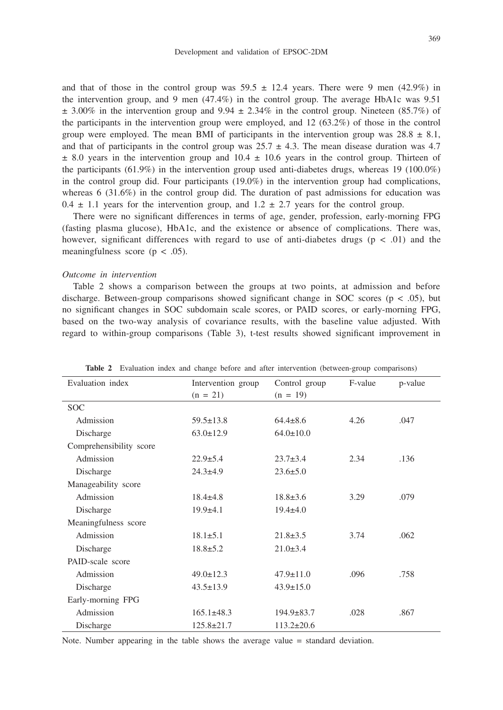and that of those in the control group was  $59.5 \pm 12.4$  years. There were 9 men (42.9%) in the intervention group, and 9 men (47.4%) in the control group. The average HbA1c was 9.51  $\pm$  3.00% in the intervention group and 9.94  $\pm$  2.34% in the control group. Nineteen (85.7%) of the participants in the intervention group were employed, and 12 (63.2%) of those in the control group were employed. The mean BMI of participants in the intervention group was  $28.8 \pm 8.1$ , and that of participants in the control group was  $25.7 \pm 4.3$ . The mean disease duration was 4.7  $\pm$  8.0 years in the intervention group and 10.4  $\pm$  10.6 years in the control group. Thirteen of the participants  $(61.9%)$  in the intervention group used anti-diabetes drugs, whereas 19 (100.0%) in the control group did. Four participants (19.0%) in the intervention group had complications, whereas  $6$  (31.6%) in the control group did. The duration of past admissions for education was  $0.4 \pm 1.1$  years for the intervention group, and  $1.2 \pm 2.7$  years for the control group.

There were no significant differences in terms of age, gender, profession, early-morning FPG (fasting plasma glucose), HbA1c, and the existence or absence of complications. There was, however, significant differences with regard to use of anti-diabetes drugs ( $p < .01$ ) and the meaningfulness score ( $p < .05$ ).

## *Outcome in intervention*

Table 2 shows a comparison between the groups at two points, at admission and before discharge. Between-group comparisons showed significant change in SOC scores ( $p < .05$ ), but no significant changes in SOC subdomain scale scores, or PAID scores, or early-morning FPG, based on the two-way analysis of covariance results, with the baseline value adjusted. With regard to within-group comparisons (Table 3), t-test results showed significant improvement in

| <b>rable</b> 4 Evaluation muck and change before and after microcition (between-group comparisons) |                    |                  |         |         |  |  |  |
|----------------------------------------------------------------------------------------------------|--------------------|------------------|---------|---------|--|--|--|
| Evaluation index                                                                                   | Intervention group | Control group    | F-value | p-value |  |  |  |
|                                                                                                    | $(n = 21)$         | $(n = 19)$       |         |         |  |  |  |
| <b>SOC</b>                                                                                         |                    |                  |         |         |  |  |  |
| Admission                                                                                          | $59.5 \pm 13.8$    | $64.4 \pm 8.6$   | 4.26    | .047    |  |  |  |
| Discharge                                                                                          | $63.0 \pm 12.9$    | $64.0 \pm 10.0$  |         |         |  |  |  |
| Comprehensibility score                                                                            |                    |                  |         |         |  |  |  |
| Admission                                                                                          | $22.9 \pm 5.4$     | $23.7 \pm 3.4$   | 2.34    | .136    |  |  |  |
| Discharge                                                                                          | $24.3 + 4.9$       | $23.6 \pm 5.0$   |         |         |  |  |  |
| Manageability score                                                                                |                    |                  |         |         |  |  |  |
| Admission                                                                                          | $18.4 \pm 4.8$     | $18.8 \pm 3.6$   | 3.29    | .079    |  |  |  |
| Discharge                                                                                          | $19.9+4.1$         | $19.4 \pm 4.0$   |         |         |  |  |  |
| Meaningfulness score                                                                               |                    |                  |         |         |  |  |  |
| Admission                                                                                          | $18.1 \pm 5.1$     | $21.8 \pm 3.5$   | 3.74    | .062    |  |  |  |
| Discharge                                                                                          | $18.8 \pm 5.2$     | $21.0 \pm 3.4$   |         |         |  |  |  |
| PAID-scale score                                                                                   |                    |                  |         |         |  |  |  |
| Admission                                                                                          | $49.0 \pm 12.3$    | $47.9 \pm 11.0$  | .096    | .758    |  |  |  |
| Discharge                                                                                          | $43.5 \pm 13.9$    | $43.9 \pm 15.0$  |         |         |  |  |  |
| Early-morning FPG                                                                                  |                    |                  |         |         |  |  |  |
| Admission                                                                                          | $165.1\pm48.3$     | $194.9 \pm 83.7$ | .028    | .867    |  |  |  |
| Discharge                                                                                          | $125.8 \pm 21.7$   | $113.2 \pm 20.6$ |         |         |  |  |  |

**Table 2** Evaluation index and change before and after intervention (between-group)

Note. Number appearing in the table shows the average value = standard deviation.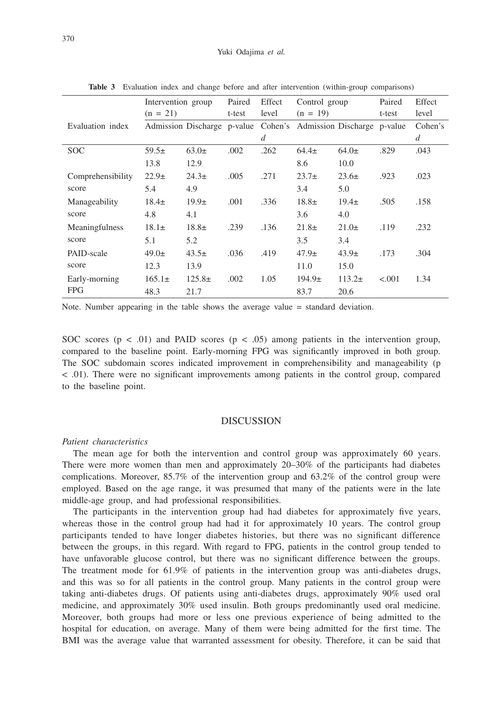|                   | Intervention group |                                                                 | Paired | Effect         | Control group |           | Paired  | Effect  |
|-------------------|--------------------|-----------------------------------------------------------------|--------|----------------|---------------|-----------|---------|---------|
|                   | $(n = 21)$         |                                                                 | t-test | level          | $(n = 19)$    |           | t-test  | level   |
| Evaluation index  |                    | Admission Discharge p-value Cohen's Admission Discharge p-value |        |                |               |           |         | Cohen's |
|                   |                    |                                                                 |        | $\overline{d}$ |               |           |         | d       |
| <b>SOC</b>        | $59.5\pm$          | $63.0+$                                                         | .002   | .262           | $64.4\pm$     | 64.0±     | .829    | .043    |
|                   | 13.8               | 12.9                                                            |        |                | 8.6           | 10.0      |         |         |
| Comprehensibility | $22.9+$            | $24.3+$                                                         | .005   | .271           | $23.7+$       | $23.6\pm$ | .923    | .023    |
| score             | 5.4                | 4.9                                                             |        |                | 3.4           | 5.0       |         |         |
| Manageability     | $18.4\pm$          | $19.9\pm$                                                       | .001   | .336           | $18.8\pm$     | $19.4\pm$ | .505    | .158    |
| score             | 4.8                | 4.1                                                             |        |                | 3.6           | 4.0       |         |         |
| Meaningfulness    | $18.1\pm$          | $18.8\pm$                                                       | .239   | .136           | $21.8\pm$     | $21.0\pm$ | .119    | .232    |
| score             | 5.1                | 5.2                                                             |        |                | 3.5           | 3.4       |         |         |
| PAID-scale        | $49.0 \pm$         | $43.5\pm$                                                       | .036   | .419           | $47.9\pm$     | $43.9\pm$ | .173    | .304    |
| score             | 12.3               | 13.9                                                            |        |                | 11.0          | 15.0      |         |         |
| Early-morning     | $165.1\pm$         | $125.8\pm$                                                      | .002   | 1.05           | $194.9\pm$    | $113.2+$  | < 0.001 | 1.34    |
| <b>FPG</b>        | 48.3               | 21.7                                                            |        |                | 83.7          | 20.6      |         |         |

**Table 3** Evaluation index and change before and after intervention (within-group comparisons)

Note. Number appearing in the table shows the average value = standard deviation.

SOC scores ( $p < .01$ ) and PAID scores ( $p < .05$ ) among patients in the intervention group, compared to the baseline point. Early-morning FPG was significantly improved in both group. The SOC subdomain scores indicated improvement in comprehensibility and manageability (p < .01). There were no significant improvements among patients in the control group, compared to the baseline point.

## DISCUSSION

# *Patient characteristics*

The mean age for both the intervention and control group was approximately 60 years. There were more women than men and approximately 20–30% of the participants had diabetes complications. Moreover, 85.7% of the intervention group and 63.2% of the control group were employed. Based on the age range, it was presumed that many of the patients were in the late middle-age group, and had professional responsibilities.

The participants in the intervention group had had diabetes for approximately five years, whereas those in the control group had had it for approximately 10 years. The control group participants tended to have longer diabetes histories, but there was no significant difference between the groups, in this regard. With regard to FPG, patients in the control group tended to have unfavorable glucose control, but there was no significant difference between the groups. The treatment mode for 61.9% of patients in the intervention group was anti-diabetes drugs, and this was so for all patients in the control group. Many patients in the control group were taking anti-diabetes drugs. Of patients using anti-diabetes drugs, approximately 90% used oral medicine, and approximately 30% used insulin. Both groups predominantly used oral medicine. Moreover, both groups had more or less one previous experience of being admitted to the hospital for education, on average. Many of them were being admitted for the first time. The BMI was the average value that warranted assessment for obesity. Therefore, it can be said that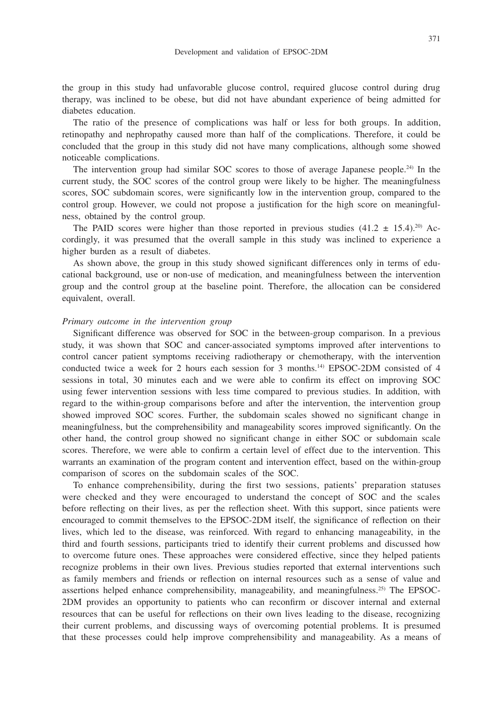the group in this study had unfavorable glucose control, required glucose control during drug therapy, was inclined to be obese, but did not have abundant experience of being admitted for diabetes education.

The ratio of the presence of complications was half or less for both groups. In addition, retinopathy and nephropathy caused more than half of the complications. Therefore, it could be concluded that the group in this study did not have many complications, although some showed noticeable complications.

The intervention group had similar SOC scores to those of average Japanese people.24) In the current study, the SOC scores of the control group were likely to be higher. The meaningfulness scores, SOC subdomain scores, were significantly low in the intervention group, compared to the control group. However, we could not propose a justification for the high score on meaningfulness, obtained by the control group.

The PAID scores were higher than those reported in previous studies  $(41.2 \pm 15.4)$ .<sup>20)</sup> Accordingly, it was presumed that the overall sample in this study was inclined to experience a higher burden as a result of diabetes.

As shown above, the group in this study showed significant differences only in terms of educational background, use or non-use of medication, and meaningfulness between the intervention group and the control group at the baseline point. Therefore, the allocation can be considered equivalent, overall.

#### *Primary outcome in the intervention group*

Significant difference was observed for SOC in the between-group comparison. In a previous study, it was shown that SOC and cancer-associated symptoms improved after interventions to control cancer patient symptoms receiving radiotherapy or chemotherapy, with the intervention conducted twice a week for 2 hours each session for 3 months.14) EPSOC-2DM consisted of 4 sessions in total, 30 minutes each and we were able to confirm its effect on improving SOC using fewer intervention sessions with less time compared to previous studies. In addition, with regard to the within-group comparisons before and after the intervention, the intervention group showed improved SOC scores. Further, the subdomain scales showed no significant change in meaningfulness, but the comprehensibility and manageability scores improved significantly. On the other hand, the control group showed no significant change in either SOC or subdomain scale scores. Therefore, we were able to confirm a certain level of effect due to the intervention. This warrants an examination of the program content and intervention effect, based on the within-group comparison of scores on the subdomain scales of the SOC.

To enhance comprehensibility, during the first two sessions, patients' preparation statuses were checked and they were encouraged to understand the concept of SOC and the scales before reflecting on their lives, as per the reflection sheet. With this support, since patients were encouraged to commit themselves to the EPSOC-2DM itself, the significance of reflection on their lives, which led to the disease, was reinforced. With regard to enhancing manageability, in the third and fourth sessions, participants tried to identify their current problems and discussed how to overcome future ones. These approaches were considered effective, since they helped patients recognize problems in their own lives. Previous studies reported that external interventions such as family members and friends or reflection on internal resources such as a sense of value and assertions helped enhance comprehensibility, manageability, and meaningfulness.25) The EPSOC-2DM provides an opportunity to patients who can reconfirm or discover internal and external resources that can be useful for reflections on their own lives leading to the disease, recognizing their current problems, and discussing ways of overcoming potential problems. It is presumed that these processes could help improve comprehensibility and manageability. As a means of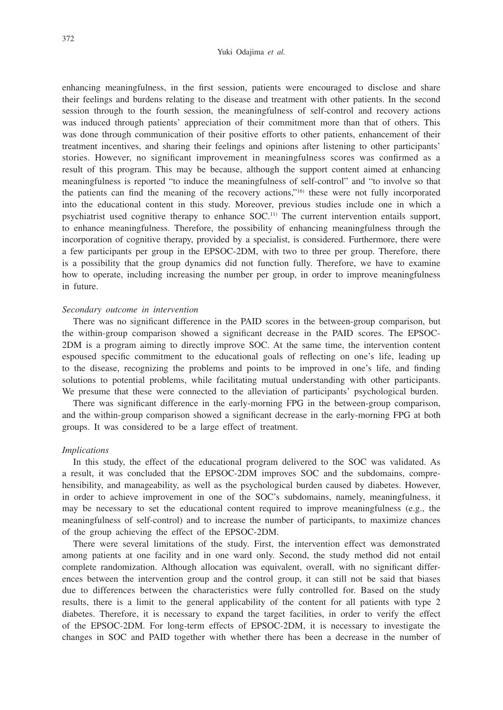### Yuki Odajima *et al.*

enhancing meaningfulness, in the first session, patients were encouraged to disclose and share their feelings and burdens relating to the disease and treatment with other patients. In the second session through to the fourth session, the meaningfulness of self-control and recovery actions was induced through patients' appreciation of their commitment more than that of others. This was done through communication of their positive efforts to other patients, enhancement of their treatment incentives, and sharing their feelings and opinions after listening to other participants' stories. However, no significant improvement in meaningfulness scores was confirmed as a result of this program. This may be because, although the support content aimed at enhancing meaningfulness is reported "to induce the meaningfulness of self-control" and "to involve so that the patients can find the meaning of the recovery actions,"16) these were not fully incorporated into the educational content in this study. Moreover, previous studies include one in which a psychiatrist used cognitive therapy to enhance SOC.11) The current intervention entails support, to enhance meaningfulness. Therefore, the possibility of enhancing meaningfulness through the incorporation of cognitive therapy, provided by a specialist, is considered. Furthermore, there were a few participants per group in the EPSOC-2DM, with two to three per group. Therefore, there is a possibility that the group dynamics did not function fully. Therefore, we have to examine how to operate, including increasing the number per group, in order to improve meaningfulness in future.

## *Secondary outcome in intervention*

There was no significant difference in the PAID scores in the between-group comparison, but the within-group comparison showed a significant decrease in the PAID scores. The EPSOC-2DM is a program aiming to directly improve SOC. At the same time, the intervention content espoused specific commitment to the educational goals of reflecting on one's life, leading up to the disease, recognizing the problems and points to be improved in one's life, and finding solutions to potential problems, while facilitating mutual understanding with other participants. We presume that these were connected to the alleviation of participants' psychological burden.

There was significant difference in the early-morning FPG in the between-group comparison, and the within-group comparison showed a significant decrease in the early-morning FPG at both groups. It was considered to be a large effect of treatment.

# *Implications*

In this study, the effect of the educational program delivered to the SOC was validated. As a result, it was concluded that the EPSOC-2DM improves SOC and the subdomains, comprehensibility, and manageability, as well as the psychological burden caused by diabetes. However, in order to achieve improvement in one of the SOC's subdomains, namely, meaningfulness, it may be necessary to set the educational content required to improve meaningfulness (e.g., the meaningfulness of self-control) and to increase the number of participants, to maximize chances of the group achieving the effect of the EPSOC-2DM.

There were several limitations of the study. First, the intervention effect was demonstrated among patients at one facility and in one ward only. Second, the study method did not entail complete randomization. Although allocation was equivalent, overall, with no significant differences between the intervention group and the control group, it can still not be said that biases due to differences between the characteristics were fully controlled for. Based on the study results, there is a limit to the general applicability of the content for all patients with type 2 diabetes. Therefore, it is necessary to expand the target facilities, in order to verify the effect of the EPSOC-2DM. For long-term effects of EPSOC-2DM, it is necessary to investigate the changes in SOC and PAID together with whether there has been a decrease in the number of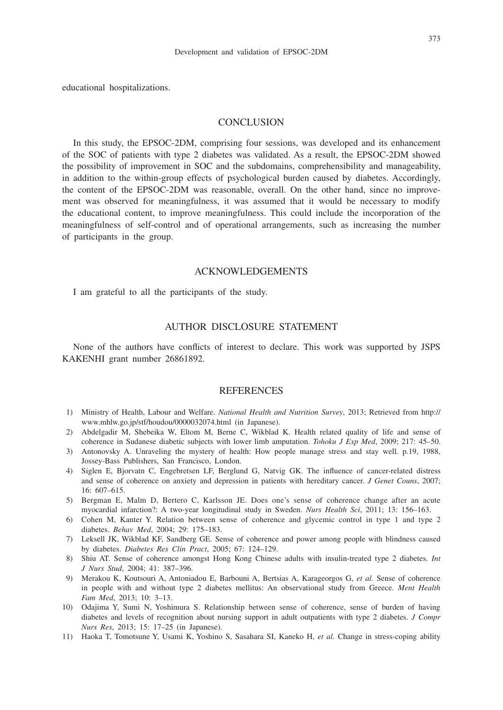educational hospitalizations.

## **CONCLUSION**

In this study, the EPSOC-2DM, comprising four sessions, was developed and its enhancement of the SOC of patients with type 2 diabetes was validated. As a result, the EPSOC-2DM showed the possibility of improvement in SOC and the subdomains, comprehensibility and manageability, in addition to the within-group effects of psychological burden caused by diabetes. Accordingly, the content of the EPSOC-2DM was reasonable, overall. On the other hand, since no improvement was observed for meaningfulness, it was assumed that it would be necessary to modify the educational content, to improve meaningfulness. This could include the incorporation of the meaningfulness of self-control and of operational arrangements, such as increasing the number of participants in the group.

## ACKNOWLEDGEMENTS

I am grateful to all the participants of the study.

## AUTHOR DISCLOSURE STATEMENT

None of the authors have conflicts of interest to declare. This work was supported by JSPS KAKENHI grant number 26861892.

## **REFERENCES**

- 1) Ministry of Health, Labour and Welfare. *National Health and Nutrition Survey*, 2013; Retrieved from http:// www.mhlw.go.jp/stf/houdou/0000032074.html (in Japanese).
- 2) Abdelgadir M, Shebeika W, Eltom M, Berne C, Wikblad K. Health related quality of life and sense of coherence in Sudanese diabetic subjects with lower limb amputation. *Tohoku J Exp Med*, 2009; 217: 45–50.
- 3) Antonovsky A. Unraveling the mystery of health: How people manage stress and stay well. p.19, 1988, Jossey-Bass Publishers, San Francisco, London.
- 4) Siglen E, Bjorvatn C, Engebretsen LF, Berglund G, Natvig GK. The influence of cancer-related distress and sense of coherence on anxiety and depression in patients with hereditary cancer. *J Genet Couns*, 2007; 16: 607–615.
- 5) Bergman E, Malm D, Bertero C, Karlsson JE. Does one's sense of coherence change after an acute myocardial infarction?: A two-year longitudinal study in Sweden. *Nurs Health Sci*, 2011; 13: 156–163.
- 6) Cohen M, Kanter Y. Relation between sense of coherence and glycemic control in type 1 and type 2 diabetes. *Behav Med*, 2004; 29: 175–183.
- 7) Leksell JK, Wikblad KF, Sandberg GE. Sense of coherence and power among people with blindness caused by diabetes. *Diabetes Res Clin Pract*, 2005; 67: 124–129.
- 8) Shiu AT. Sense of coherence amongst Hong Kong Chinese adults with insulin-treated type 2 diabetes. *Int J Nurs Stud*, 2004; 41: 387–396.
- 9) Merakou K, Koutsouri A, Antoniadou E, Barbouni A, Bertsias A, Karageorgos G, *et al.* Sense of coherence in people with and without type 2 diabetes mellitus: An observational study from Greece. *Ment Health Fam Med*, 2013; 10: 3–13.
- 10) Odajima Y, Sumi N, Yoshimura S. Relationship between sense of coherence, sense of burden of having diabetes and levels of recognition about nursing support in adult outpatients with type 2 diabetes. *J Compr Nurs Res*, 2013; 15: 17–25 (in Japanese).
- 11) Haoka T, Tomotsune Y, Usami K, Yoshino S, Sasahara SI, Kaneko H, *et al.* Change in stress-coping ability